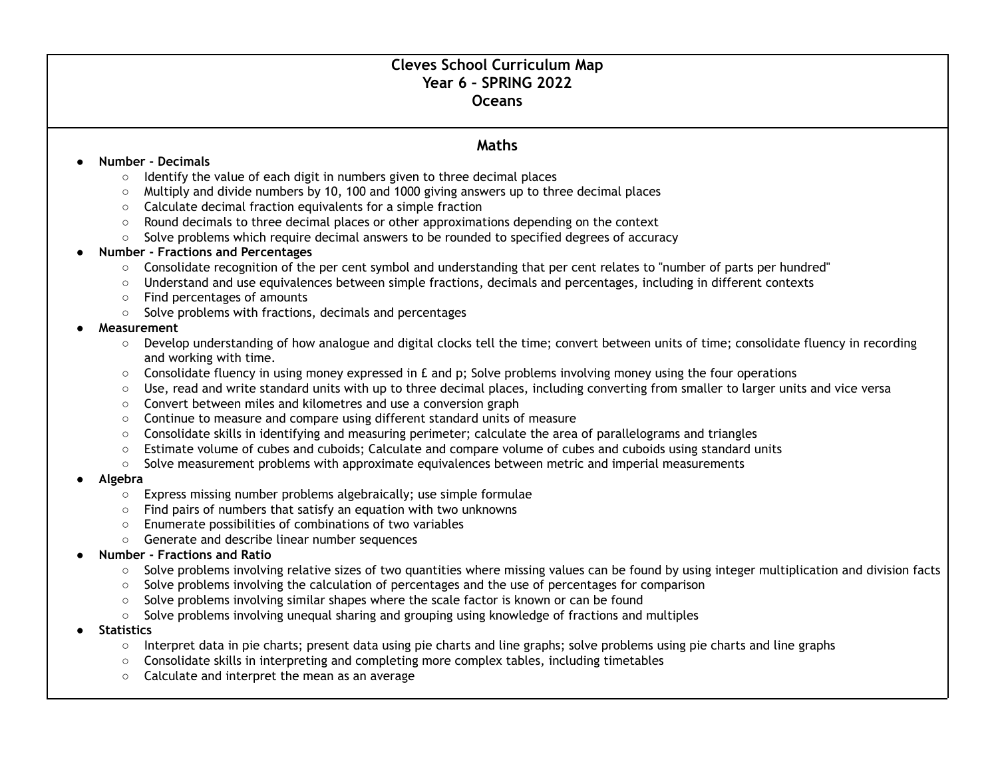# **Cleves School Curriculum Map Year 6 – SPRING 2022 Oceans**

# **Maths**

### **● Number - Decimals**

- Identify the value of each digit in numbers given to three decimal places
- Multiply and divide numbers by 10, 100 and 1000 giving answers up to three decimal places
- Calculate decimal fraction equivalents for a simple fraction
- Round decimals to three decimal places or other approximations depending on the context
- Solve problems which require decimal answers to be rounded to specified degrees of accuracy

## **● Number - Fractions and Percentages**

- Consolidate recognition of the per cent symbol and understanding that per cent relates to ''number of parts per hundred''
- Understand and use equivalences between simple fractions, decimals and percentages, including in different contexts
- Find percentages of amounts
- Solve problems with fractions, decimals and percentages

## **● Measurement**

- Develop understanding of how analogue and digital clocks tell the time; convert between units of time; consolidate fluency in recording and working with time.
- $\circ$  Consolidate fluency in using money expressed in £ and p; Solve problems involving money using the four operations
- Use, read and write standard units with up to three decimal places, including converting from smaller to larger units and vice versa
- Convert between miles and kilometres and use a conversion graph
- Continue to measure and compare using different standard units of measure
- Consolidate skills in identifying and measuring perimeter; calculate the area of parallelograms and triangles
- Estimate volume of cubes and cuboids; Calculate and compare volume of cubes and cuboids using standard units
- Solve measurement problems with approximate equivalences between metric and imperial measurements

#### **● Algebra**

- Express missing number problems algebraically; use simple formulae
- Find pairs of numbers that satisfy an equation with two unknowns
- Enumerate possibilities of combinations of two variables
- Generate and describe linear number sequences

## **● Number - Fractions and Ratio**

- Solve problems involving relative sizes of two quantities where missing values can be found by using integer multiplication and division facts
- Solve problems involving the calculation of percentages and the use of percentages for comparison
- Solve problems involving similar shapes where the scale factor is known or can be found
- Solve problems involving unequal sharing and grouping using knowledge of fractions and multiples
- **● Statistics**
	- Interpret data in pie charts; present data using pie charts and line graphs; solve problems using pie charts and line graphs
	- Consolidate skills in interpreting and completing more complex tables, including timetables
	- Calculate and interpret the mean as an average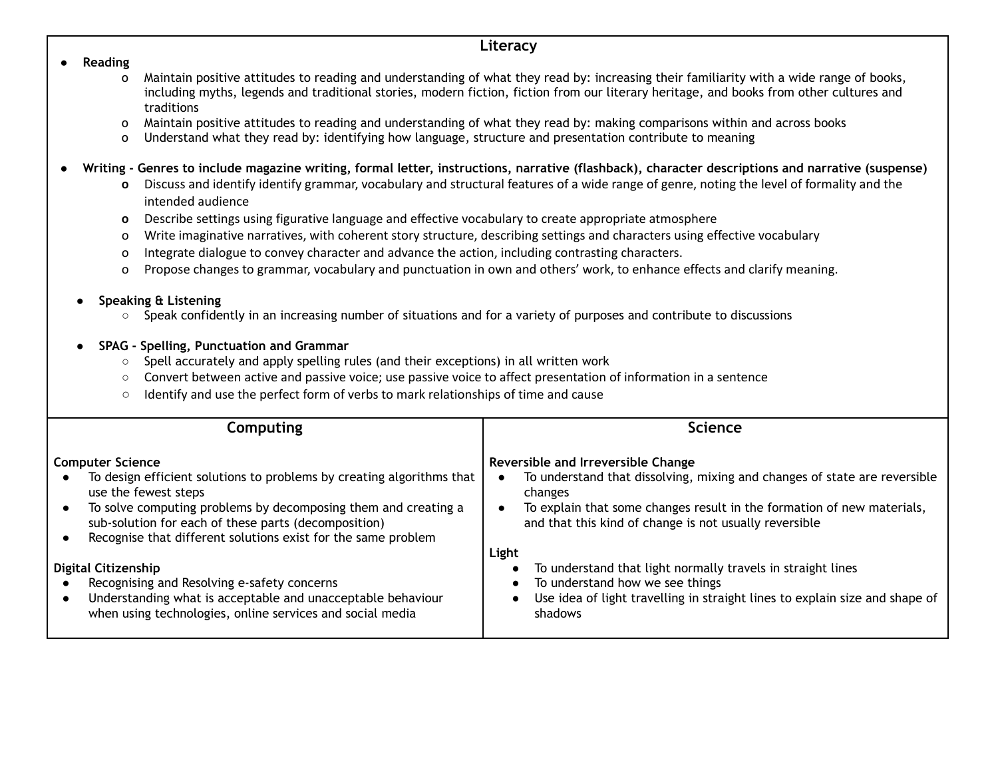# **Literacy**

#### ● **Reading**

- o Maintain positive attitudes to reading and understanding of what they read by: increasing their familiarity with a wide range of books, including myths, legends and traditional stories, modern fiction, fiction from our literary heritage, and books from other cultures and traditions
- o Maintain positive attitudes to reading and understanding of what they read by: making comparisons within and across books
- o Understand what they read by: identifying how language, structure and presentation contribute to meaning
- Writing Genres to include magazine writing, formal letter, instructions, narrative (flashback), character descriptions and narrative (suspense)
	- **o** Discuss and identify identify grammar, vocabulary and structural features of a wide range of genre, noting the level of formality and the intended audience
	- **o** Describe settings using figurative language and effective vocabulary to create appropriate atmosphere
	- o Write imaginative narratives, with coherent story structure, describing settings and characters using effective vocabulary
	- o Integrate dialogue to convey character and advance the action, including contrasting characters.
	- o Propose changes to grammar, vocabulary and punctuation in own and others' work, to enhance effects and clarify meaning.

# **● Speaking & Listening**

- **○** Speak confidently in an increasing number of situations and for a variety of purposes and contribute to discussions
- **● SPAG - Spelling, Punctuation and Grammar**
	- Spell accurately and apply spelling rules (and their exceptions) in all written work
	- Convert between active and passive voice; use passive voice to affect presentation of information in a sentence
	- Identify and use the perfect form of verbs to mark relationships of time and cause

| Computing                                                                                                                                                                               | <b>Science</b>                                                                                                                   |  |
|-----------------------------------------------------------------------------------------------------------------------------------------------------------------------------------------|----------------------------------------------------------------------------------------------------------------------------------|--|
|                                                                                                                                                                                         |                                                                                                                                  |  |
| <b>Computer Science</b>                                                                                                                                                                 | Reversible and Irreversible Change                                                                                               |  |
| To design efficient solutions to problems by creating algorithms that<br>use the fewest steps                                                                                           | To understand that dissolving, mixing and changes of state are reversible<br>changes                                             |  |
| To solve computing problems by decomposing them and creating a<br>sub-solution for each of these parts (decomposition)<br>Recognise that different solutions exist for the same problem | To explain that some changes result in the formation of new materials,<br>and that this kind of change is not usually reversible |  |
|                                                                                                                                                                                         | Light                                                                                                                            |  |
| <b>Digital Citizenship</b>                                                                                                                                                              | To understand that light normally travels in straight lines                                                                      |  |
| Recognising and Resolving e-safety concerns                                                                                                                                             | To understand how we see things                                                                                                  |  |
| Understanding what is acceptable and unacceptable behaviour<br>when using technologies, online services and social media                                                                | Use idea of light travelling in straight lines to explain size and shape of<br>shadows                                           |  |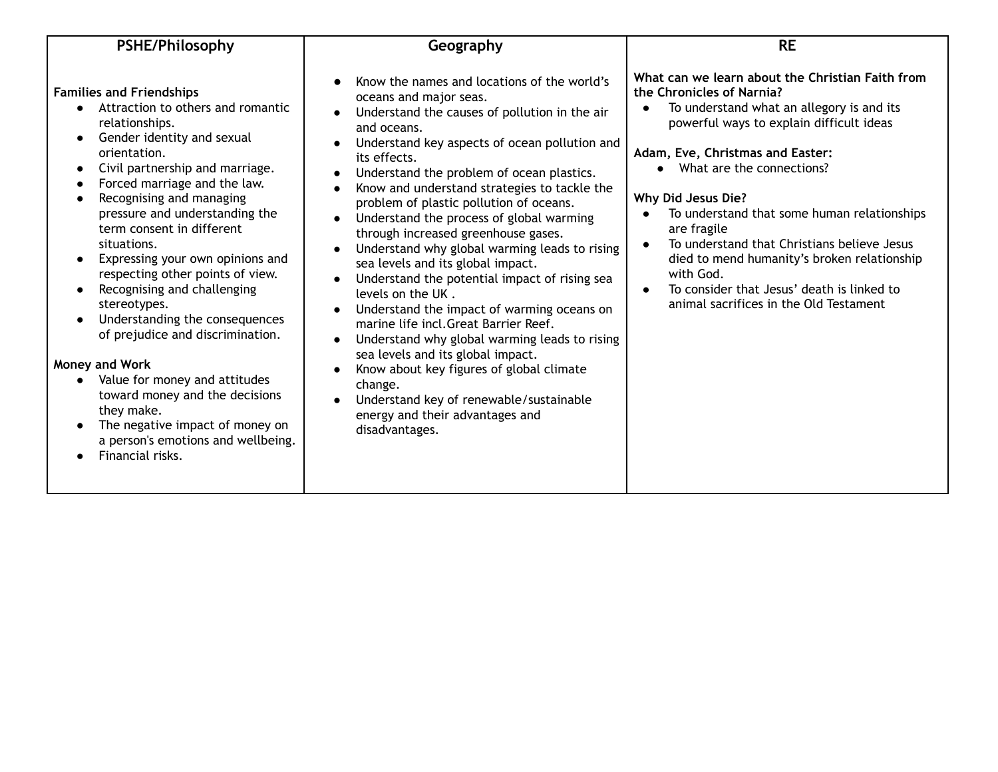| <b>PSHE/Philosophy</b>                                                                                                                                                                                                                                                                                                                                                                                                                                                                                                                                                                                                                                                                                         | Geography                                                                                                                                                                                                                                                                                                                                                                                                                                                                                                                                                                                                                                                                                                                                                                                                                                                                                                                        | <b>RE</b>                                                                                                                                                                                                                                                                                                                                                                                                                                                                                                                                                             |  |
|----------------------------------------------------------------------------------------------------------------------------------------------------------------------------------------------------------------------------------------------------------------------------------------------------------------------------------------------------------------------------------------------------------------------------------------------------------------------------------------------------------------------------------------------------------------------------------------------------------------------------------------------------------------------------------------------------------------|----------------------------------------------------------------------------------------------------------------------------------------------------------------------------------------------------------------------------------------------------------------------------------------------------------------------------------------------------------------------------------------------------------------------------------------------------------------------------------------------------------------------------------------------------------------------------------------------------------------------------------------------------------------------------------------------------------------------------------------------------------------------------------------------------------------------------------------------------------------------------------------------------------------------------------|-----------------------------------------------------------------------------------------------------------------------------------------------------------------------------------------------------------------------------------------------------------------------------------------------------------------------------------------------------------------------------------------------------------------------------------------------------------------------------------------------------------------------------------------------------------------------|--|
| <b>Families and Friendships</b><br>Attraction to others and romantic<br>relationships.<br>Gender identity and sexual<br>orientation.<br>Civil partnership and marriage.<br>Forced marriage and the law.<br>Recognising and managing<br>pressure and understanding the<br>term consent in different<br>situations.<br>Expressing your own opinions and<br>respecting other points of view.<br>Recognising and challenging<br>stereotypes.<br>Understanding the consequences<br>of prejudice and discrimination.<br>Money and Work<br>Value for money and attitudes<br>toward money and the decisions<br>they make.<br>The negative impact of money on<br>a person's emotions and wellbeing.<br>Financial risks. | Know the names and locations of the world's<br>oceans and major seas.<br>Understand the causes of pollution in the air<br>and oceans.<br>Understand key aspects of ocean pollution and<br>its effects.<br>Understand the problem of ocean plastics.<br>Know and understand strategies to tackle the<br>problem of plastic pollution of oceans.<br>Understand the process of global warming<br>through increased greenhouse gases.<br>Understand why global warming leads to rising<br>sea levels and its global impact.<br>Understand the potential impact of rising sea<br>levels on the UK.<br>Understand the impact of warming oceans on<br>marine life incl.Great Barrier Reef.<br>Understand why global warming leads to rising<br>sea levels and its global impact.<br>Know about key figures of global climate<br>change.<br>Understand key of renewable/sustainable<br>energy and their advantages and<br>disadvantages. | What can we learn about the Christian Faith from<br>the Chronicles of Narnia?<br>To understand what an allegory is and its<br>$\bullet$<br>powerful ways to explain difficult ideas<br>Adam, Eve, Christmas and Easter:<br>What are the connections?<br>Why Did Jesus Die?<br>To understand that some human relationships<br>are fragile<br>To understand that Christians believe Jesus<br>$\bullet$<br>died to mend humanity's broken relationship<br>with God.<br>To consider that Jesus' death is linked to<br>$\bullet$<br>animal sacrifices in the Old Testament |  |